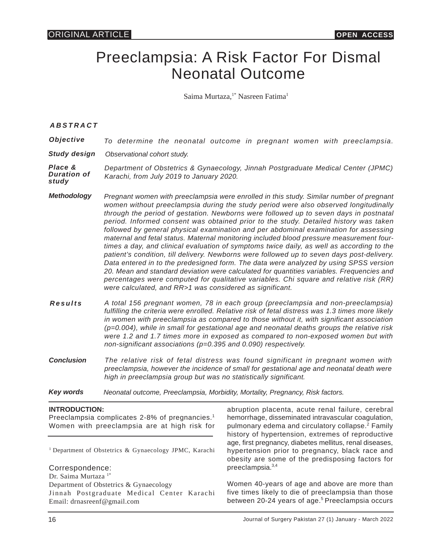# Preeclampsia: A Risk Factor For Dismal Neonatal Outcome

Saima Murtaza.<sup>1\*</sup> Nasreen Fatima<sup>1</sup>

### *ABSTRACT*

| <i>Objective</i> |  |  |  |  |  |  |  |  |  | To determine the neonatal outcome in pregnant women with preeclampsia. |
|------------------|--|--|--|--|--|--|--|--|--|------------------------------------------------------------------------|
|------------------|--|--|--|--|--|--|--|--|--|------------------------------------------------------------------------|

*Study design Observational cohort study.*

*Place & Duration of study Department of Obstetrics & Gynaecology, Jinnah Postgraduate Medical Center (JPMC) Karachi, from July 2019 to January 2020.*

- *Methodology Pregnant women with preeclampsia were enrolled in this study. Similar number of pregnant women without preeclampsia during the study period were also observed longitudinally through the period of gestation. Newborns were followed up to seven days in postnatal period. Informed consent was obtained prior to the study. Detailed history was taken followed by general physical examination and per abdominal examination for assessing maternal and fetal status. Maternal monitoring included blood pressure measurement fourtimes a day, and clinical evaluation of symptoms twice daily, as well as according to the patient's condition, till delivery. Newborns were followed up to seven days post-delivery. Data entered in to the predesigned form. The data were analyzed by using SPSS version 20. Mean and standard deviation were calculated for quantities variables. Frequencies and percentages were computed for qualitative variables. Chi square and relative risk (RR) were calculated, and RR>1 was considered as significant.*
- *Results A total 156 pregnant women, 78 in each group (preeclampsia and non-preeclampsia) fulfilling the criteria were enrolled. Relative risk of fetal distress was 1.3 times more likely in women with preeclampsia as compared to those without it, with significant association (p=0.004), while in small for gestational age and neonatal deaths groups the relative risk were 1.2 and 1.7 times more in exposed as compared to non-exposed women but with non-significant associations (p=0.395 and 0.090) respectively.*
- *Conclusion The relative risk of fetal distress was found significant in pregnant women with preeclampsia, however the incidence of small for gestational age and neonatal death were high in preeclampsia group but was no statistically significant.*
- *Key words Neonatal outcome, Preeclampsia, Morbidity, Mortality, Pregnancy, Risk factors.*

#### **INTRODUCTION:**

Preeclampsia complicates 2-8% of pregnancies.<sup>1</sup> Women with preeclampsia are at high risk for

<sup>1</sup> Department of Obstetrics & Gynaecology JPMC, Karachi

Correspondence:

Dr. Saima Murtaza<sup>1\*</sup> Department of Obstetrics & Gynaecology Jinnah Postgraduate Medical Center Karachi Email: drnasreenf@gmail.com

abruption placenta, acute renal failure, cerebral hemorrhage, disseminated intravascular coagulation, pulmonary edema and circulatory collapse.<sup>2</sup> Family history of hypertension, extremes of reproductive age, first pregnancy, diabetes mellitus, renal diseases, hypertension prior to pregnancy, black race and obesity are some of the predisposing factors for preeclampsia.3,4

Women 40-years of age and above are more than five times likely to die of preeclampsia than those between 20-24 years of age.<sup>5</sup> Preeclampsia occurs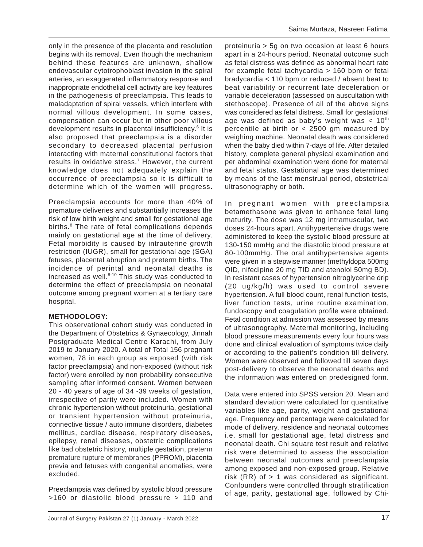only in the presence of the placenta and resolution begins with its removal. Even though the mechanism behind these features are unknown, shallow endovascular cytotrophoblast invasion in the spiral arteries, an exaggerated inflammatory response and inappropriate endothelial cell activity are key features in the pathogenesis of preeclampsia. This leads to maladaptation of spiral vessels, which interfere with normal villous development. In some cases, compensation can occur but in other poor villous development results in placental insufficiency.<sup>6</sup> It is also proposed that preeclampsia is a disorder secondary to decreased placental perfusion interacting with maternal constitutional factors that results in oxidative stress.<sup>7</sup> However, the current knowledge does not adequately explain the occurrence of preeclampsia so it is difficult to determine which of the women will progress.

Preeclampsia accounts for more than 40% of premature deliveries and substantially increases the risk of low birth weight and small for gestational age births.<sup>8</sup> The rate of fetal complications depends mainly on gestational age at the time of delivery. Fetal morbidity is caused by intrauterine growth restriction (IUGR), small for gestational age (SGA) fetuses, placental abruption and preterm births. The incidence of perintal and neonatal deaths is increased as well. $8-10$  This study was conducted to determine the effect of preeclampsia on neonatal outcome among pregnant women at a tertiary care hospital.

## **METHODOLOGY:**

This observational cohort study was conducted in the Department of Obstetrics & Gynaecology, Jinnah Postgraduate Medical Centre Karachi, from July 2019 to January 2020. A total of Total 156 pregnant women, 78 in each group as exposed (with risk factor preeclampsia) and non-exposed (without risk factor) were enrolled by non probability consecutive sampling after informed consent. Women between 20 - 40 years of age of 34 -39 weeks of gestation, irrespective of parity were included. Women with chronic hypertension without proteinuria, gestational or transient hypertension without proteinuria, connective tissue / auto immune disorders, diabetes mellitus, cardiac disease, respiratory diseases, epilepsy, renal diseases, obstetric complications like bad obstetric history, multiple gestation, preterm premature rupture of membranes (PPROM), placenta previa and fetuses with congenital anomalies, were excluded.

Preeclampsia was defined by systolic blood pressure >160 or diastolic blood pressure > 110 and proteinuria > 5g on two occasion at least 6 hours apart in a 24-hours period. Neonatal outcome such as fetal distress was defined as abnormal heart rate for example fetal tachycardia > 160 bpm or fetal bradycardia < 110 bpm or reduced / absent beat to beat variability or recurrent late deceleration or variable deceleration (assessed on auscultation with stethoscope). Presence of all of the above signs was considered as fetal distress. Small for gestational age was defined as baby's weight was  $< 10<sup>th</sup>$ percentile at birth or < 2500 gm measured by weighing machine. Neonatal death was considered when the baby died within 7-days of life. After detailed history, complete general physical examination and per abdominal examination were done for maternal and fetal status. Gestational age was determined by means of the last menstrual period, obstetrical ultrasonography or both.

In pregnant women with preeclampsia betamethasone was given to enhance fetal lung maturity. The dose was 12 mg intramuscular, two doses 24-hours apart. Antihypertensive drugs were administered to keep the systolic blood pressure at 130-150 mmHg and the diastolic blood pressure at 80-100mmHg. The oral antihypertensive agents were given in a stepwise manner (methyldopa 500mg QID, nifedipine 20 mg TID and atenolol 50mg BD). In resistant cases of hypertension nitroglycerine drip (20 ug/kg/h) was used to control severe hypertension. A full blood count, renal function tests, liver function tests, urine routine examination, fundoscopy and coagulation profile were obtained. Fetal condition at admission was assessed by means of ultrasonography. Maternal monitoring, including blood pressure measurements every four hours was done and clinical evaluation of symptoms twice daily or according to the patient's condition till delivery. Women were observed and followed till seven days post-delivery to observe the neonatal deaths and the information was entered on predesigned form.

Data were entered into SPSS version 20. Mean and standard deviation were calculated for quantitative variables like age, parity, weight and gestational age. Frequency and percentage were calculated for mode of delivery, residence and neonatal outcomes i.e. small for gestational age, fetal distress and neonatal death. Chi square test result and relative risk were determined to assess the association between neonatal outcomes and preeclampsia among exposed and non-exposed group. Relative risk  $(RR)$  of  $> 1$  was considered as significant. Confounders were controlled through stratification of age, parity, gestational age, followed by Chi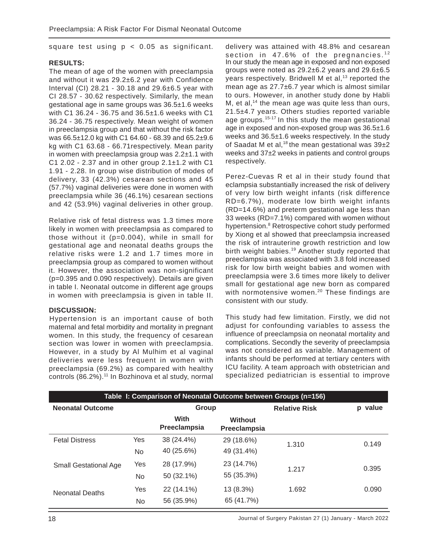square test using  $p < 0.05$  as significant.

#### **RESULTS:**

The mean of age of the women with preeclampsia and without it was 29.2±6.2 year with Confidence Interval (CI) 28.21 - 30.18 and 29.6±6.5 year with CI 28.57 - 30.62 respectively. Similarly, the mean gestational age in same groups was 36.5±1.6 weeks with C1 36.24 - 36.75 and 36.5±1.6 weeks with C1 36.24 - 36.75 respectively. Mean weight of women in preeclampsia group and that without the risk factor was 66.5±12.0 kg with C1 64.60 - 68.39 and 65.2±9.6 kg with C1 63.68 - 66.71respectively. Mean parity in women with preeclampsia group was  $2.2\pm1.1$  with C1 2.02 - 2.37 and in other group 2.1±1.2 with C1 1.91 - 2.28. In group wise distribution of modes of delivery, 33 (42.3%) cesarean sections and 45 (57.7%) vaginal deliveries were done in women with preeclampsia while 36 (46.1%) cesarean sections and 42 (53.9%) vaginal deliveries in other group.

Relative risk of fetal distress was 1.3 times more likely in women with preeclampsia as compared to those without it (p=0.004), while in small for gestational age and neonatal deaths groups the relative risks were 1.2 and 1.7 times more in preeclampsia group as compared to women without it. However, the association was non-significant (p=0.395 and 0.090 respectively). Details are given in table I. Neonatal outcome in different age groups in women with preeclampsia is given in table II.

#### **DISCUSSION:**

Hypertension is an important cause of both maternal and fetal morbidity and mortality in pregnant women. In this study, the frequency of cesarean section was lower in women with preeclampsia. However, in a study by Al Mulhim et al vaginal deliveries were less frequent in women with preeclampsia (69.2%) as compared with healthy controls (86.2%).<sup>11</sup> In Bozhinova et al study, normal

delivery was attained with 48.8% and cesarean section in  $47.6\%$  of the pregnancies.<sup>12</sup> In our study the mean age in exposed and non exposed groups were noted as 29.2±6.2 years and 29.6±6.5 years respectively. Bridwell M et al,<sup>13</sup> reported the mean age as 27.7±6.7 year which is almost similar to ours. However, in another study done by Habli M, et al, $<sup>14</sup>$  the mean age was quite less than ours,</sup> 21.5±4.7 years. Others studies reported variable age groups.<sup>15-17</sup> In this study the mean gestational age in exposed and non-exposed group was 36.5±1.6 weeks and 36.5±1.6 weeks respectively. In the study of Saadat M et al,<sup>18</sup> the mean gestational was  $39±2$ weeks and 37±2 weeks in patients and control groups respectively.

Perez-Cuevas R et al in their study found that eclampsia substantially increased the risk of delivery of very low birth weight infants (risk difference RD=6.7%), moderate low birth weight infants (RD=14.6%) and preterm gestational age less than 33 weeks (RD=7.1%) compared with women without hypertension.<sup>8</sup> Retrospective cohort study performed by Xiong et al showed that preeclampsia increased the risk of intrauterine growth restriction and low birth weight babies.<sup>19</sup> Another study reported that preeclampsia was associated with 3.8 fold increased risk for low birth weight babies and women with preeclampsia were 3.6 times more likely to deliver small for gestational age new born as compared with normotensive women.<sup>20</sup> These findings are consistent with our study.

This study had few limitation. Firstly, we did not adjust for confounding variables to assess the influence of preeclampsia on neonatal mortality and complications. Secondly the severity of preeclampsia was not considered as variable. Management of infants should be performed at tertiary centers with ICU facility. A team approach with obstetrician and specialized pediatrician is essential to improve

| Table I: Comparison of Neonatal Outcome between Groups (n=156) |     |                      |                                |                      |         |  |  |
|----------------------------------------------------------------|-----|----------------------|--------------------------------|----------------------|---------|--|--|
| <b>Neonatal Outcome</b>                                        |     | Group                |                                | <b>Relative Risk</b> | p value |  |  |
|                                                                |     | With<br>Preeclampsia | <b>Without</b><br>Preeclampsia |                      |         |  |  |
| <b>Fetal Distress</b>                                          | Yes | 38 (24.4%)           | 29 (18.6%)                     | 1.310                | 0.149   |  |  |
|                                                                | No  | 40 (25.6%)           | 49 (31.4%)                     |                      |         |  |  |
| <b>Small Gestational Age</b>                                   | Yes | 28 (17.9%)           | 23 (14.7%)                     | 1.217                | 0.395   |  |  |
|                                                                | No. | 50 (32.1%)           | 55 (35.3%)                     |                      |         |  |  |
| <b>Neonatal Deaths</b>                                         | Yes | 22 (14.1%)           | 13 (8.3%)                      | 1.692                | 0.090   |  |  |
|                                                                | No  | 56 (35.9%)           | 65 (41.7%)                     |                      |         |  |  |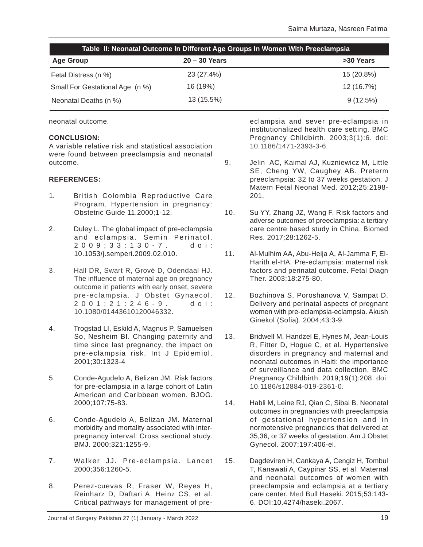| Table II: Neonatal Outcome In Different Age Groups In Women With Preeclampsia |                 |             |  |  |  |
|-------------------------------------------------------------------------------|-----------------|-------------|--|--|--|
| <b>Age Group</b>                                                              | $20 - 30$ Years | >30 Years   |  |  |  |
| Fetal Distress (n %)                                                          | 23 (27.4%)      | 15 (20.8%)  |  |  |  |
| Small For Gestational Age (n %)                                               | 16 (19%)        | 12 (16.7%)  |  |  |  |
| Neonatal Deaths (n %)                                                         | 13 (15.5%)      | $9(12.5\%)$ |  |  |  |

neonatal outcome.

#### **CONCLUSION:**

A variable relative risk and statistical association were found between preeclampsia and neonatal outcome.

#### **REFERENCES:**

- 1. British Colombia Reproductive Care Program. Hypertension in pregnancy: Obstetric Guide 11.2000;1-12.
- 2. Duley L. The global impact of pre-eclampsia and eclampsia. Semin Perinatol. 2009;33:130-7. doi: 10.1053/j.semperi.2009.02.010.
- 3. Hall DR, Swart R, Grové D, Odendaal HJ. The influence of maternal age on pregnancy outcome in patients with early onset, severe pre-eclampsia. J Obstet Gynaecol. 2001;21:246-9. doi: 10.1080/01443610120046332.
- 4. Trogstad LI, Eskild A, Magnus P, Samuelsen So, Nesheim BI. Changing paternity and time since last pregnancy, the impact on pre-eclampsia risk. Int J Epidemiol. 2001;30:1323-4
- 5. Conde-Agudelo A, Belizan JM. Risk factors for pre-eclampsia in a large cohort of Latin American and Caribbean women. BJOG. 2000;107:75-83.
- 6. Conde-Agudelo A, Belizan JM. Maternal morbidity and mortality associated with interpregnancy interval: Cross sectional study. BMJ. 2000;321:1255-9.
- 7. Walker JJ. Pre-eclampsia. Lancet 2000;356:1260-5.
- 8. Perez-cuevas R, Fraser W, Reyes H, Reinharz D, Daftari A, Heinz CS, et al. Critical pathways for management of pre-

eclampsia and sever pre-eclampsia in institutionalized health care setting. BMC Pregnancy Childbirth. 2003;3(1):6. doi: 10.1186/1471-2393-3-6.

- 9. Jelin AC, Kaimal AJ, Kuzniewicz M, Little SE, Cheng YW, Caughey AB. Preterm preeclampsia: 32 to 37 weeks gestation. J Matern Fetal Neonat Med. 2012;25:2198- 201.
- 10. Su YY, Zhang JZ, Wang F. Risk factors and adverse outcomes of preeclampsia: a tertiary care centre based study in China. Biomed Res. 2017;28:1262-5.
- 11. Al-Mulhim AA, Abu-Heija A, Al-Jamma F, El-Harith el-HA. Pre-eclampsia: maternal risk factors and perinatal outcome. Fetal Diagn Ther. 2003;18:275-80.
- 12. Bozhinova S, Poroshanova V, Sampat D. Delivery and perinatal aspects of pregnant women with pre-eclampsia-eclampsia. Akush Ginekol (Sofia). 2004;43:3-9.
- 13. Bridwell M, Handzel E, Hynes M, Jean-Louis R, Fitter D, Hogue C, et al. Hypertensive disorders in pregnancy and maternal and neonatal outcomes in Haiti: the importance of surveillance and data collection, BMC Pregnancy Childbirth. 2019;19(1):208. doi: 10.1186/s12884-019-2361-0.
- 14. Habli M, Leine RJ, Qian C, Sibai B. Neonatal outcomes in pregnancies with preeclampsia of gestational hypertension and in normotensive pregnancies that delivered at 35,36, or 37 weeks of gestation. Am J Obstet Gynecol. 2007;197:406-el.
- 15. Dagdeviren H, Cankaya A, Cengiz H, Tombul T, Kanawati A, Caypinar SS, et al. Maternal and neonatal outcomes of women with preeclampsia and eclampsia at a tertiary care center. Med Bull Haseki. 2015;53:143- 6. DOI:10.4274/haseki.2067.